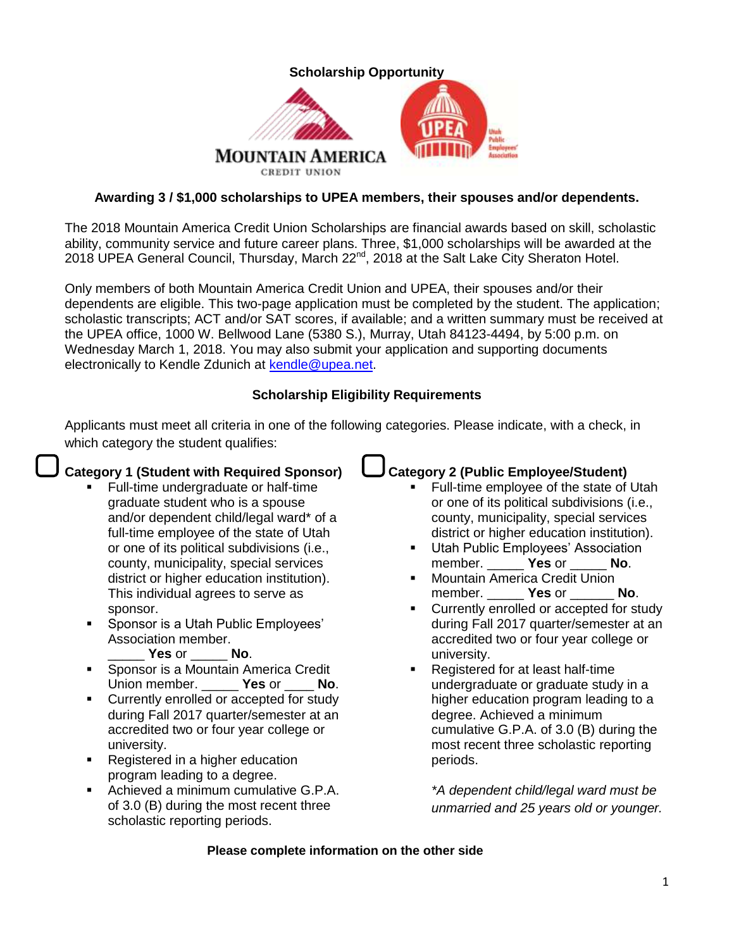

## **Awarding 3 / \$1,000 scholarships to UPEA members, their spouses and/or dependents.**

The 2018 Mountain America Credit Union Scholarships are financial awards based on skill, scholastic ability, community service and future career plans. Three, \$1,000 scholarships will be awarded at the 2018 UPEA General Council, Thursday, March  $22^{nd}$ , 2018 at the Salt Lake City Sheraton Hotel.

Only members of both Mountain America Credit Union and UPEA, their spouses and/or their dependents are eligible. This two-page application must be completed by the student. The application; scholastic transcripts; ACT and/or SAT scores, if available; and a written summary must be received at the UPEA office, 1000 W. Bellwood Lane (5380 S.), Murray, Utah 84123-4494, by 5:00 p.m. on Wednesday March 1, 2018. You may also submit your application and supporting documents electronically to Kendle Zdunich at [kendle@upea.net.](mailto:kendle@upea.net)

## **Scholarship Eligibility Requirements**

Applicants must meet all criteria in one of the following categories. Please indicate, with a check, in which category the student qualifies:

# **Category 1 (Student with Required Sponsor)**

- Full-time undergraduate or half-time graduate student who is a spouse and/or dependent child/legal ward\* of a full-time employee of the state of Utah or one of its political subdivisions (i.e., county, municipality, special services district or higher education institution). This individual agrees to serve as sponsor.
- Sponsor is a Utah Public Employees' Association member.

### \_\_\_\_\_ **Yes** or \_\_\_\_\_ **No**.

- Sponsor is a Mountain America Credit Union member. \_\_\_\_\_ **Yes** or \_\_\_\_ **No**.
- Currently enrolled or accepted for study during Fall 2017 quarter/semester at an accredited two or four year college or university.
- **Registered in a higher education** program leading to a degree.
- Achieved a minimum cumulative G.P.A. of 3.0 (B) during the most recent three scholastic reporting periods.

# **Category 2 (Public Employee/Student)**

- Full-time employee of the state of Utah or one of its political subdivisions (i.e., county, municipality, special services district or higher education institution).
- Utah Public Employees' Association member. \_\_\_\_\_ **Yes** or \_\_\_\_\_ **No**.
- Mountain America Credit Union member. \_\_\_\_\_ **Yes** or \_\_\_\_\_\_ **No**.
- **•** Currently enrolled or accepted for study during Fall 2017 quarter/semester at an accredited two or four year college or university.
- **Registered for at least half-time** undergraduate or graduate study in a higher education program leading to a degree. Achieved a minimum cumulative G.P.A. of 3.0 (B) during the most recent three scholastic reporting periods.

*\*A dependent child/legal ward must be unmarried and 25 years old or younger.*

### **Please complete information on the other side**